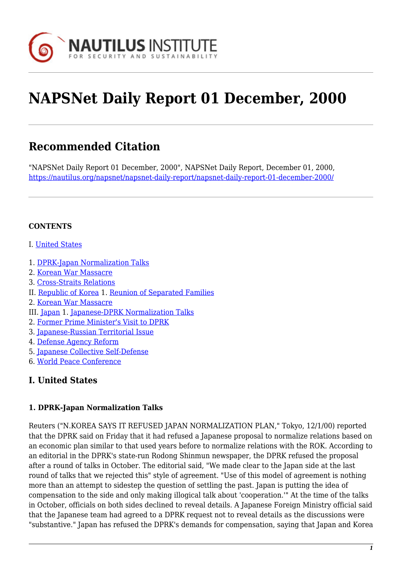

# **NAPSNet Daily Report 01 December, 2000**

# **Recommended Citation**

"NAPSNet Daily Report 01 December, 2000", NAPSNet Daily Report, December 01, 2000, <https://nautilus.org/napsnet/napsnet-daily-report/napsnet-daily-report-01-december-2000/>

## **CONTENTS**

- I. [United States](#page-0-0)
- 1. [DPRK-Japan Normalization Talks](#page-0-1)
- 2. [Korean War Massacre](#page-1-0)
- 3. [Cross-Straits Relations](#page-1-1)
- II. [Republic of Korea](#page-1-2) 1. [Reunion of Separated Families](#page-2-0)
- 2. [Korean War Massacre](#page-2-1)
- III. [Japan](#page-2-2) 1. [Japanese-DPRK Normalization Talks](#page-2-3)
- 2. [Former Prime Minister's Visit to DPRK](#page-3-0)
- 3. [Japanese-Russian Territorial Issue](#page-3-1)
- 4. [Defense Agency Reform](#page-3-2)
- 5. [Japanese Collective Self-Defense](#page-3-3)
- 6. [World Peace Conference](#page-4-0)

# <span id="page-0-0"></span>**I. United States**

#### <span id="page-0-1"></span>**1. DPRK-Japan Normalization Talks**

Reuters ("N.KOREA SAYS IT REFUSED JAPAN NORMALIZATION PLAN," Tokyo, 12/1/00) reported that the DPRK said on Friday that it had refused a Japanese proposal to normalize relations based on an economic plan similar to that used years before to normalize relations with the ROK. According to an editorial in the DPRK's state-run Rodong Shinmun newspaper, the DPRK refused the proposal after a round of talks in October. The editorial said, "We made clear to the Japan side at the last round of talks that we rejected this" style of agreement. "Use of this model of agreement is nothing more than an attempt to sidestep the question of settling the past. Japan is putting the idea of compensation to the side and only making illogical talk about 'cooperation.'" At the time of the talks in October, officials on both sides declined to reveal details. A Japanese Foreign Ministry official said that the Japanese team had agreed to a DPRK request not to reveal details as the discussions were "substantive." Japan has refused the DPRK's demands for compensation, saying that Japan and Korea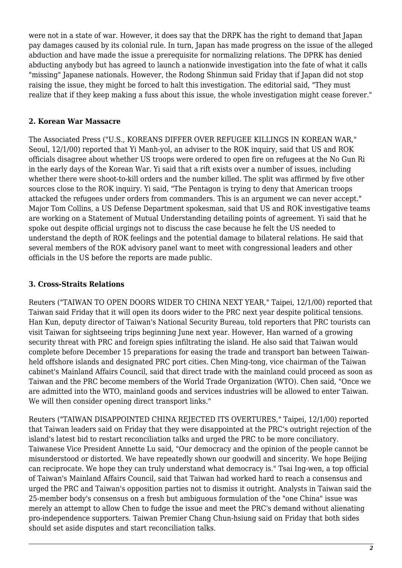were not in a state of war. However, it does say that the DRPK has the right to demand that Japan pay damages caused by its colonial rule. In turn, Japan has made progress on the issue of the alleged abduction and have made the issue a prerequisite for normalizing relations. The DPRK has denied abducting anybody but has agreed to launch a nationwide investigation into the fate of what it calls "missing" Japanese nationals. However, the Rodong Shinmun said Friday that if Japan did not stop raising the issue, they might be forced to halt this investigation. The editorial said, "They must realize that if they keep making a fuss about this issue, the whole investigation might cease forever."

#### <span id="page-1-0"></span>**2. Korean War Massacre**

The Associated Press ("U.S., KOREANS DIFFER OVER REFUGEE KILLINGS IN KOREAN WAR," Seoul, 12/1/00) reported that Yi Manh-yol, an adviser to the ROK inquiry, said that US and ROK officials disagree about whether US troops were ordered to open fire on refugees at the No Gun Ri in the early days of the Korean War. Yi said that a rift exists over a number of issues, including whether there were shoot-to-kill orders and the number killed. The split was affirmed by five other sources close to the ROK inquiry. Yi said, "The Pentagon is trying to deny that American troops attacked the refugees under orders from commanders. This is an argument we can never accept." Major Tom Collins, a US Defense Department spokesman, said that US and ROK investigative teams are working on a Statement of Mutual Understanding detailing points of agreement. Yi said that he spoke out despite official urgings not to discuss the case because he felt the US needed to understand the depth of ROK feelings and the potential damage to bilateral relations. He said that several members of the ROK advisory panel want to meet with congressional leaders and other officials in the US before the reports are made public.

# <span id="page-1-1"></span>**3. Cross-Straits Relations**

Reuters ("TAIWAN TO OPEN DOORS WIDER TO CHINA NEXT YEAR," Taipei, 12/1/00) reported that Taiwan said Friday that it will open its doors wider to the PRC next year despite political tensions. Han Kun, deputy director of Taiwan's National Security Bureau, told reporters that PRC tourists can visit Taiwan for sightseeing trips beginning June next year. However, Han warned of a growing security threat with PRC and foreign spies infiltrating the island. He also said that Taiwan would complete before December 15 preparations for easing the trade and transport ban between Taiwanheld offshore islands and designated PRC port cities. Chen Ming-tong, vice chairman of the Taiwan cabinet's Mainland Affairs Council, said that direct trade with the mainland could proceed as soon as Taiwan and the PRC become members of the World Trade Organization (WTO). Chen said, "Once we are admitted into the WTO, mainland goods and services industries will be allowed to enter Taiwan. We will then consider opening direct transport links."

<span id="page-1-2"></span>Reuters ("TAIWAN DISAPPOINTED CHINA REJECTED ITS OVERTURES," Taipei, 12/1/00) reported that Taiwan leaders said on Friday that they were disappointed at the PRC's outright rejection of the island's latest bid to restart reconciliation talks and urged the PRC to be more conciliatory. Taiwanese Vice President Annette Lu said, "Our democracy and the opinion of the people cannot be misunderstood or distorted. We have repeatedly shown our goodwill and sincerity. We hope Beijing can reciprocate. We hope they can truly understand what democracy is." Tsai Ing-wen, a top official of Taiwan's Mainland Affairs Council, said that Taiwan had worked hard to reach a consensus and urged the PRC and Taiwan's opposition parties not to dismiss it outright. Analysts in Taiwan said the 25-member body's consensus on a fresh but ambiguous formulation of the "one China" issue was merely an attempt to allow Chen to fudge the issue and meet the PRC's demand without alienating pro-independence supporters. Taiwan Premier Chang Chun-hsiung said on Friday that both sides should set aside disputes and start reconciliation talks.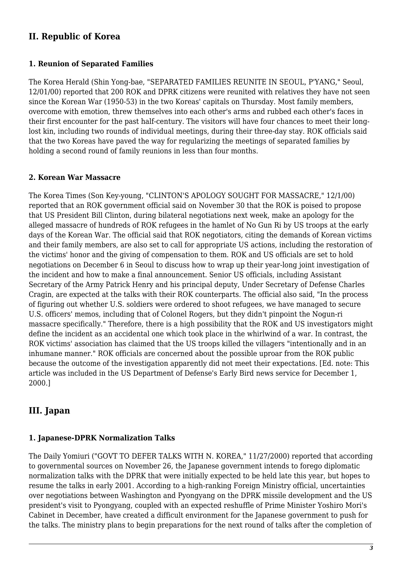# **II. Republic of Korea**

#### <span id="page-2-0"></span>**1. Reunion of Separated Families**

The Korea Herald (Shin Yong-bae, "SEPARATED FAMILIES REUNITE IN SEOUL, P'YANG," Seoul, 12/01/00) reported that 200 ROK and DPRK citizens were reunited with relatives they have not seen since the Korean War (1950-53) in the two Koreas' capitals on Thursday. Most family members, overcome with emotion, threw themselves into each other's arms and rubbed each other's faces in their first encounter for the past half-century. The visitors will have four chances to meet their longlost kin, including two rounds of individual meetings, during their three-day stay. ROK officials said that the two Koreas have paved the way for regularizing the meetings of separated families by holding a second round of family reunions in less than four months.

#### <span id="page-2-1"></span>**2. Korean War Massacre**

The Korea Times (Son Key-young, "CLINTON'S APOLOGY SOUGHT FOR MASSACRE," 12/1/00) reported that an ROK government official said on November 30 that the ROK is poised to propose that US President Bill Clinton, during bilateral negotiations next week, make an apology for the alleged massacre of hundreds of ROK refugees in the hamlet of No Gun Ri by US troops at the early days of the Korean War. The official said that ROK negotiators, citing the demands of Korean victims and their family members, are also set to call for appropriate US actions, including the restoration of the victims' honor and the giving of compensation to them. ROK and US officials are set to hold negotiations on December 6 in Seoul to discuss how to wrap up their year-long joint investigation of the incident and how to make a final announcement. Senior US officials, including Assistant Secretary of the Army Patrick Henry and his principal deputy, Under Secretary of Defense Charles Cragin, are expected at the talks with their ROK counterparts. The official also said, "In the process of figuring out whether U.S. soldiers were ordered to shoot refugees, we have managed to secure U.S. officers' memos, including that of Colonel Rogers, but they didn't pinpoint the Nogun-ri massacre specifically." Therefore, there is a high possibility that the ROK and US investigators might define the incident as an accidental one which took place in the whirlwind of a war. In contrast, the ROK victims' association has claimed that the US troops killed the villagers "intentionally and in an inhumane manner." ROK officials are concerned about the possible uproar from the ROK public because the outcome of the investigation apparently did not meet their expectations. [Ed. note: This article was included in the US Department of Defense's Early Bird news service for December 1, 2000.]

# <span id="page-2-2"></span>**III. Japan**

#### <span id="page-2-3"></span>**1. Japanese-DPRK Normalization Talks**

The Daily Yomiuri ("GOVT TO DEFER TALKS WITH N. KOREA," 11/27/2000) reported that according to governmental sources on November 26, the Japanese government intends to forego diplomatic normalization talks with the DPRK that were initially expected to be held late this year, but hopes to resume the talks in early 2001. According to a high-ranking Foreign Ministry official, uncertainties over negotiations between Washington and Pyongyang on the DPRK missile development and the US president's visit to Pyongyang, coupled with an expected reshuffle of Prime Minister Yoshiro Mori's Cabinet in December, have created a difficult environment for the Japanese government to push for the talks. The ministry plans to begin preparations for the next round of talks after the completion of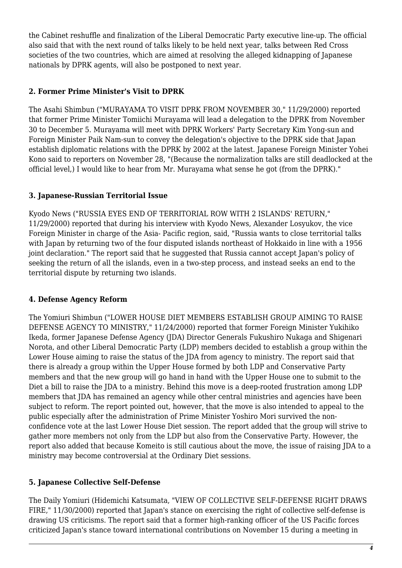the Cabinet reshuffle and finalization of the Liberal Democratic Party executive line-up. The official also said that with the next round of talks likely to be held next year, talks between Red Cross societies of the two countries, which are aimed at resolving the alleged kidnapping of Japanese nationals by DPRK agents, will also be postponed to next year.

# <span id="page-3-0"></span>**2. Former Prime Minister's Visit to DPRK**

The Asahi Shimbun ("MURAYAMA TO VISIT DPRK FROM NOVEMBER 30," 11/29/2000) reported that former Prime Minister Tomiichi Murayama will lead a delegation to the DPRK from November 30 to December 5. Murayama will meet with DPRK Workers' Party Secretary Kim Yong-sun and Foreign Minister Paik Nam-sun to convey the delegation's objective to the DPRK side that Japan establish diplomatic relations with the DPRK by 2002 at the latest. Japanese Foreign Minister Yohei Kono said to reporters on November 28, "(Because the normalization talks are still deadlocked at the official level,) I would like to hear from Mr. Murayama what sense he got (from the DPRK)."

## <span id="page-3-1"></span>**3. Japanese-Russian Territorial Issue**

Kyodo News ("RUSSIA EYES END OF TERRITORIAL ROW WITH 2 ISLANDS' RETURN," 11/29/2000) reported that during his interview with Kyodo News, Alexander Losyukov, the vice Foreign Minister in charge of the Asia- Pacific region, said, "Russia wants to close territorial talks with Japan by returning two of the four disputed islands northeast of Hokkaido in line with a 1956 joint declaration." The report said that he suggested that Russia cannot accept Japan's policy of seeking the return of all the islands, even in a two-step process, and instead seeks an end to the territorial dispute by returning two islands.

#### <span id="page-3-2"></span>**4. Defense Agency Reform**

The Yomiuri Shimbun ("LOWER HOUSE DIET MEMBERS ESTABLISH GROUP AIMING TO RAISE DEFENSE AGENCY TO MINISTRY," 11/24/2000) reported that former Foreign Minister Yukihiko Ikeda, former Japanese Defense Agency (JDA) Director Generals Fukushiro Nukaga and Shigenari Norota, and other Liberal Democratic Party (LDP) members decided to establish a group within the Lower House aiming to raise the status of the JDA from agency to ministry. The report said that there is already a group within the Upper House formed by both LDP and Conservative Party members and that the new group will go hand in hand with the Upper House one to submit to the Diet a bill to raise the JDA to a ministry. Behind this move is a deep-rooted frustration among LDP members that JDA has remained an agency while other central ministries and agencies have been subject to reform. The report pointed out, however, that the move is also intended to appeal to the public especially after the administration of Prime Minister Yoshiro Mori survived the nonconfidence vote at the last Lower House Diet session. The report added that the group will strive to gather more members not only from the LDP but also from the Conservative Party. However, the report also added that because Komeito is still cautious about the move, the issue of raising JDA to a ministry may become controversial at the Ordinary Diet sessions.

# <span id="page-3-3"></span>**5. Japanese Collective Self-Defense**

The Daily Yomiuri (Hidemichi Katsumata, "VIEW OF COLLECTIVE SELF-DEFENSE RIGHT DRAWS FIRE," 11/30/2000) reported that Japan's stance on exercising the right of collective self-defense is drawing US criticisms. The report said that a former high-ranking officer of the US Pacific forces criticized Japan's stance toward international contributions on November 15 during a meeting in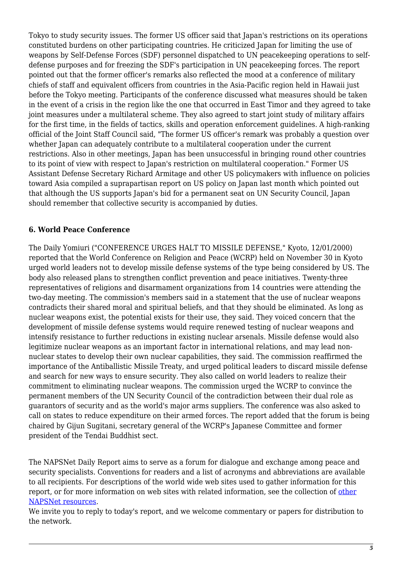Tokyo to study security issues. The former US officer said that Japan's restrictions on its operations constituted burdens on other participating countries. He criticized Japan for limiting the use of weapons by Self-Defense Forces (SDF) personnel dispatched to UN peacekeeping operations to selfdefense purposes and for freezing the SDF's participation in UN peacekeeping forces. The report pointed out that the former officer's remarks also reflected the mood at a conference of military chiefs of staff and equivalent officers from countries in the Asia-Pacific region held in Hawaii just before the Tokyo meeting. Participants of the conference discussed what measures should be taken in the event of a crisis in the region like the one that occurred in East Timor and they agreed to take joint measures under a multilateral scheme. They also agreed to start joint study of military affairs for the first time, in the fields of tactics, skills and operation enforcement guidelines. A high-ranking official of the Joint Staff Council said, "The former US officer's remark was probably a question over whether Japan can adequately contribute to a multilateral cooperation under the current restrictions. Also in other meetings, Japan has been unsuccessful in bringing round other countries to its point of view with respect to Japan's restriction on multilateral cooperation." Former US Assistant Defense Secretary Richard Armitage and other US policymakers with influence on policies toward Asia compiled a suprapartisan report on US policy on Japan last month which pointed out that although the US supports Japan's bid for a permanent seat on UN Security Council, Japan should remember that collective security is accompanied by duties.

#### <span id="page-4-0"></span>**6. World Peace Conference**

The Daily Yomiuri ("CONFERENCE URGES HALT TO MISSILE DEFENSE," Kyoto, 12/01/2000) reported that the World Conference on Religion and Peace (WCRP) held on November 30 in Kyoto urged world leaders not to develop missile defense systems of the type being considered by US. The body also released plans to strengthen conflict prevention and peace initiatives. Twenty-three representatives of religions and disarmament organizations from 14 countries were attending the two-day meeting. The commission's members said in a statement that the use of nuclear weapons contradicts their shared moral and spiritual beliefs, and that they should be eliminated. As long as nuclear weapons exist, the potential exists for their use, they said. They voiced concern that the development of missile defense systems would require renewed testing of nuclear weapons and intensify resistance to further reductions in existing nuclear arsenals. Missile defense would also legitimize nuclear weapons as an important factor in international relations, and may lead nonnuclear states to develop their own nuclear capabilities, they said. The commission reaffirmed the importance of the Antiballistic Missile Treaty, and urged political leaders to discard missile defense and search for new ways to ensure security. They also called on world leaders to realize their commitment to eliminating nuclear weapons. The commission urged the WCRP to convince the permanent members of the UN Security Council of the contradiction between their dual role as guarantors of security and as the world's major arms suppliers. The conference was also asked to call on states to reduce expenditure on their armed forces. The report added that the forum is being chaired by Gijun Sugitani, secretary general of the WCRP's Japanese Committee and former president of the Tendai Buddhist sect.

The NAPSNet Daily Report aims to serve as a forum for dialogue and exchange among peace and security specialists. Conventions for readers and a list of acronyms and abbreviations are available to all recipients. For descriptions of the world wide web sites used to gather information for this report, or for more information on web sites with related information, see the collection of [other](http://nautilus.org/kiosk/weblinks.html) [NAPSNet resources.](http://nautilus.org/kiosk/weblinks.html)

We invite you to reply to today's report, and we welcome commentary or papers for distribution to the network.